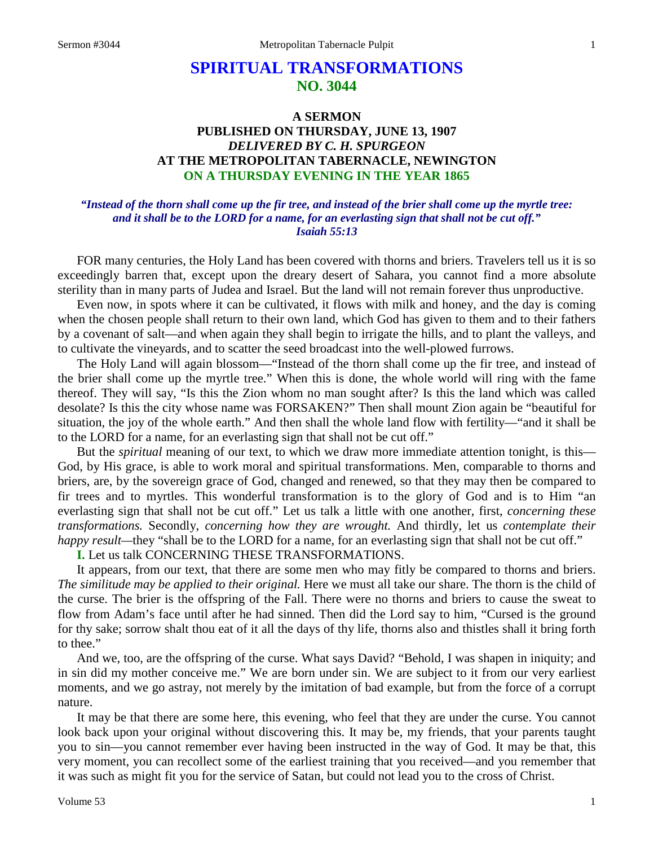# **SPIRITUAL TRANSFORMATIONS NO. 3044**

# **A SERMON PUBLISHED ON THURSDAY, JUNE 13, 1907** *DELIVERED BY C. H. SPURGEON* **AT THE METROPOLITAN TABERNACLE, NEWINGTON ON A THURSDAY EVENING IN THE YEAR 1865**

# *"Instead of the thorn shall come up the fir tree, and instead of the brier shall come up the myrtle tree: and it shall be to the LORD for a name, for an everlasting sign that shall not be cut off." Isaiah 55:13*

FOR many centuries, the Holy Land has been covered with thorns and briers. Travelers tell us it is so exceedingly barren that, except upon the dreary desert of Sahara, you cannot find a more absolute sterility than in many parts of Judea and Israel. But the land will not remain forever thus unproductive.

Even now, in spots where it can be cultivated, it flows with milk and honey, and the day is coming when the chosen people shall return to their own land, which God has given to them and to their fathers by a covenant of salt—and when again they shall begin to irrigate the hills, and to plant the valleys, and to cultivate the vineyards, and to scatter the seed broadcast into the well-plowed furrows.

The Holy Land will again blossom—"Instead of the thorn shall come up the fir tree, and instead of the brier shall come up the myrtle tree." When this is done, the whole world will ring with the fame thereof. They will say, "Is this the Zion whom no man sought after? Is this the land which was called desolate? Is this the city whose name was FORSAKEN?" Then shall mount Zion again be "beautiful for situation, the joy of the whole earth." And then shall the whole land flow with fertility—"and it shall be to the LORD for a name, for an everlasting sign that shall not be cut off."

But the *spiritual* meaning of our text, to which we draw more immediate attention tonight, is this— God, by His grace, is able to work moral and spiritual transformations. Men, comparable to thorns and briers, are, by the sovereign grace of God, changed and renewed, so that they may then be compared to fir trees and to myrtles. This wonderful transformation is to the glory of God and is to Him "an everlasting sign that shall not be cut off." Let us talk a little with one another, first, *concerning these transformations.* Secondly, *concerning how they are wrought.* And thirdly, let us *contemplate their happy result—they* "shall be to the LORD for a name, for an everlasting sign that shall not be cut off."

**I.** Let us talk CONCERNING THESE TRANSFORMATIONS.

It appears, from our text, that there are some men who may fitly be compared to thorns and briers. *The similitude may be applied to their original.* Here we must all take our share. The thorn is the child of the curse. The brier is the offspring of the Fall. There were no thorns and briers to cause the sweat to flow from Adam's face until after he had sinned. Then did the Lord say to him, "Cursed is the ground for thy sake; sorrow shalt thou eat of it all the days of thy life, thorns also and thistles shall it bring forth to thee."

And we, too, are the offspring of the curse. What says David? "Behold, I was shapen in iniquity; and in sin did my mother conceive me." We are born under sin. We are subject to it from our very earliest moments, and we go astray, not merely by the imitation of bad example, but from the force of a corrupt nature.

It may be that there are some here, this evening, who feel that they are under the curse. You cannot look back upon your original without discovering this. It may be, my friends, that your parents taught you to sin—you cannot remember ever having been instructed in the way of God. It may be that, this very moment, you can recollect some of the earliest training that you received—and you remember that it was such as might fit you for the service of Satan, but could not lead you to the cross of Christ.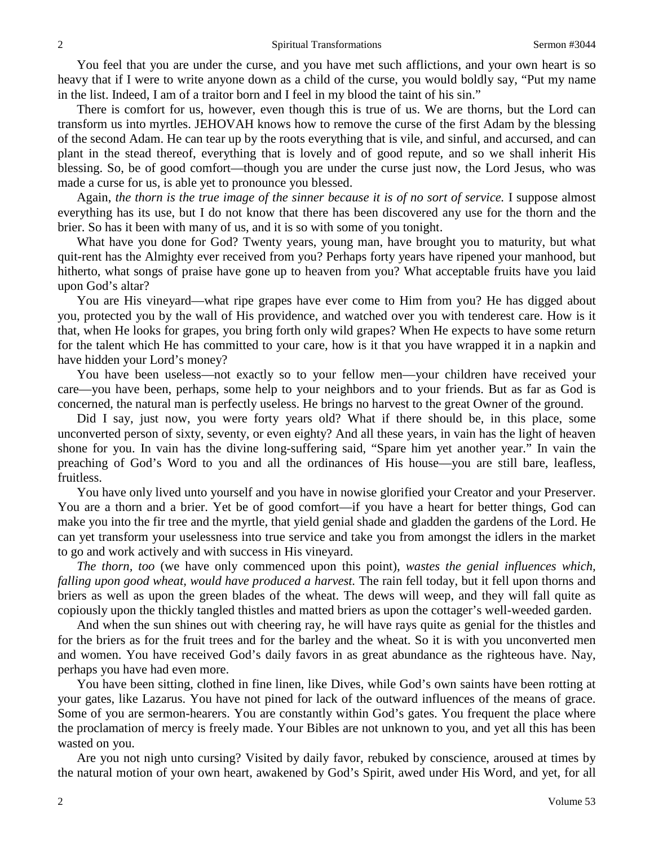You feel that you are under the curse, and you have met such afflictions, and your own heart is so heavy that if I were to write anyone down as a child of the curse, you would boldly say, "Put my name in the list. Indeed, I am of a traitor born and I feel in my blood the taint of his sin."

There is comfort for us, however, even though this is true of us. We are thorns, but the Lord can transform us into myrtles. JEHOVAH knows how to remove the curse of the first Adam by the blessing of the second Adam. He can tear up by the roots everything that is vile, and sinful, and accursed, and can plant in the stead thereof, everything that is lovely and of good repute, and so we shall inherit His blessing. So, be of good comfort—though you are under the curse just now, the Lord Jesus, who was made a curse for us, is able yet to pronounce you blessed.

Again, *the thorn is the true image of the sinner because it is of no sort of service.* I suppose almost everything has its use, but I do not know that there has been discovered any use for the thorn and the brier. So has it been with many of us, and it is so with some of you tonight.

What have you done for God? Twenty years, young man, have brought you to maturity, but what quit-rent has the Almighty ever received from you? Perhaps forty years have ripened your manhood, but hitherto, what songs of praise have gone up to heaven from you? What acceptable fruits have you laid upon God's altar?

You are His vineyard—what ripe grapes have ever come to Him from you? He has digged about you, protected you by the wall of His providence, and watched over you with tenderest care. How is it that, when He looks for grapes, you bring forth only wild grapes? When He expects to have some return for the talent which He has committed to your care, how is it that you have wrapped it in a napkin and have hidden your Lord's money?

You have been useless—not exactly so to your fellow men—your children have received your care—you have been, perhaps, some help to your neighbors and to your friends. But as far as God is concerned, the natural man is perfectly useless. He brings no harvest to the great Owner of the ground.

Did I say, just now, you were forty years old? What if there should be, in this place, some unconverted person of sixty, seventy, or even eighty? And all these years, in vain has the light of heaven shone for you. In vain has the divine long-suffering said, "Spare him yet another year." In vain the preaching of God's Word to you and all the ordinances of His house—you are still bare, leafless, fruitless.

You have only lived unto yourself and you have in nowise glorified your Creator and your Preserver. You are a thorn and a brier. Yet be of good comfort—if you have a heart for better things, God can make you into the fir tree and the myrtle, that yield genial shade and gladden the gardens of the Lord. He can yet transform your uselessness into true service and take you from amongst the idlers in the market to go and work actively and with success in His vineyard.

*The thorn, too* (we have only commenced upon this point), *wastes the genial influences which, falling upon good wheat, would have produced a harvest.* The rain fell today, but it fell upon thorns and briers as well as upon the green blades of the wheat. The dews will weep, and they will fall quite as copiously upon the thickly tangled thistles and matted briers as upon the cottager's well-weeded garden.

And when the sun shines out with cheering ray, he will have rays quite as genial for the thistles and for the briers as for the fruit trees and for the barley and the wheat. So it is with you unconverted men and women. You have received God's daily favors in as great abundance as the righteous have. Nay, perhaps you have had even more.

You have been sitting, clothed in fine linen, like Dives, while God's own saints have been rotting at your gates, like Lazarus. You have not pined for lack of the outward influences of the means of grace. Some of you are sermon-hearers. You are constantly within God's gates. You frequent the place where the proclamation of mercy is freely made. Your Bibles are not unknown to you, and yet all this has been wasted on you.

Are you not nigh unto cursing? Visited by daily favor, rebuked by conscience, aroused at times by the natural motion of your own heart, awakened by God's Spirit, awed under His Word, and yet, for all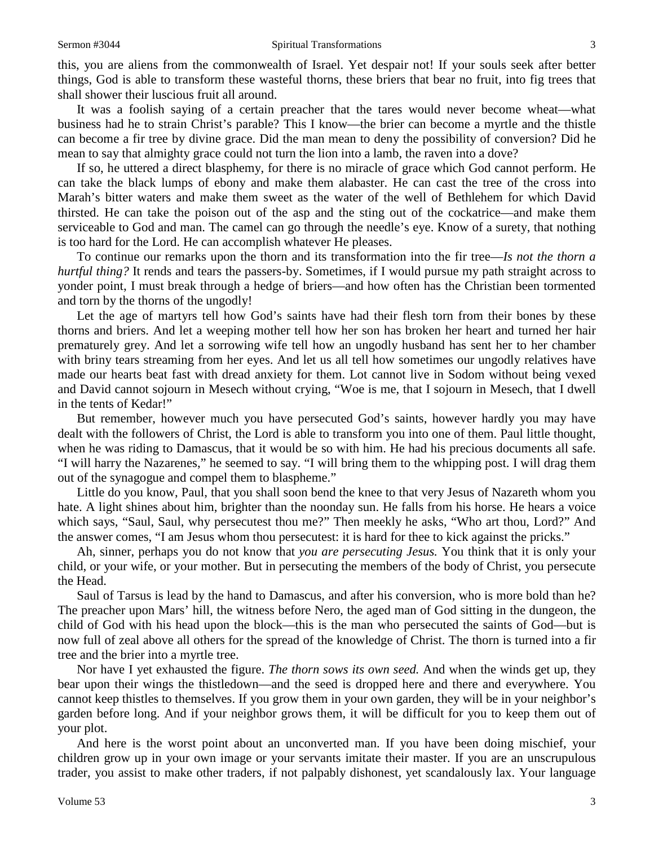this, you are aliens from the commonwealth of Israel. Yet despair not! If your souls seek after better things, God is able to transform these wasteful thorns, these briers that bear no fruit, into fig trees that shall shower their luscious fruit all around.

It was a foolish saying of a certain preacher that the tares would never become wheat—what business had he to strain Christ's parable? This I know—the brier can become a myrtle and the thistle can become a fir tree by divine grace. Did the man mean to deny the possibility of conversion? Did he mean to say that almighty grace could not turn the lion into a lamb, the raven into a dove?

If so, he uttered a direct blasphemy, for there is no miracle of grace which God cannot perform. He can take the black lumps of ebony and make them alabaster. He can cast the tree of the cross into Marah's bitter waters and make them sweet as the water of the well of Bethlehem for which David thirsted. He can take the poison out of the asp and the sting out of the cockatrice—and make them serviceable to God and man. The camel can go through the needle's eye. Know of a surety, that nothing is too hard for the Lord. He can accomplish whatever He pleases.

To continue our remarks upon the thorn and its transformation into the fir tree—*Is not the thorn a hurtful thing?* It rends and tears the passers-by. Sometimes, if I would pursue my path straight across to yonder point, I must break through a hedge of briers—and how often has the Christian been tormented and torn by the thorns of the ungodly!

Let the age of martyrs tell how God's saints have had their flesh torn from their bones by these thorns and briers. And let a weeping mother tell how her son has broken her heart and turned her hair prematurely grey. And let a sorrowing wife tell how an ungodly husband has sent her to her chamber with briny tears streaming from her eyes. And let us all tell how sometimes our ungodly relatives have made our hearts beat fast with dread anxiety for them. Lot cannot live in Sodom without being vexed and David cannot sojourn in Mesech without crying, "Woe is me, that I sojourn in Mesech, that I dwell in the tents of Kedar!"

But remember, however much you have persecuted God's saints, however hardly you may have dealt with the followers of Christ, the Lord is able to transform you into one of them. Paul little thought, when he was riding to Damascus, that it would be so with him. He had his precious documents all safe. "I will harry the Nazarenes," he seemed to say. "I will bring them to the whipping post. I will drag them out of the synagogue and compel them to blaspheme."

Little do you know, Paul, that you shall soon bend the knee to that very Jesus of Nazareth whom you hate. A light shines about him, brighter than the noonday sun. He falls from his horse. He hears a voice which says, "Saul, Saul, why persecutest thou me?" Then meekly he asks, "Who art thou, Lord?" And the answer comes, "I am Jesus whom thou persecutest: it is hard for thee to kick against the pricks."

Ah, sinner, perhaps you do not know that *you are persecuting Jesus.* You think that it is only your child, or your wife, or your mother. But in persecuting the members of the body of Christ, you persecute the Head.

Saul of Tarsus is lead by the hand to Damascus, and after his conversion, who is more bold than he? The preacher upon Mars' hill, the witness before Nero, the aged man of God sitting in the dungeon, the child of God with his head upon the block—this is the man who persecuted the saints of God—but is now full of zeal above all others for the spread of the knowledge of Christ. The thorn is turned into a fir tree and the brier into a myrtle tree.

Nor have I yet exhausted the figure. *The thorn sows its own seed.* And when the winds get up, they bear upon their wings the thistledown—and the seed is dropped here and there and everywhere. You cannot keep thistles to themselves. If you grow them in your own garden, they will be in your neighbor's garden before long. And if your neighbor grows them, it will be difficult for you to keep them out of your plot.

And here is the worst point about an unconverted man. If you have been doing mischief, your children grow up in your own image or your servants imitate their master. If you are an unscrupulous trader, you assist to make other traders, if not palpably dishonest, yet scandalously lax. Your language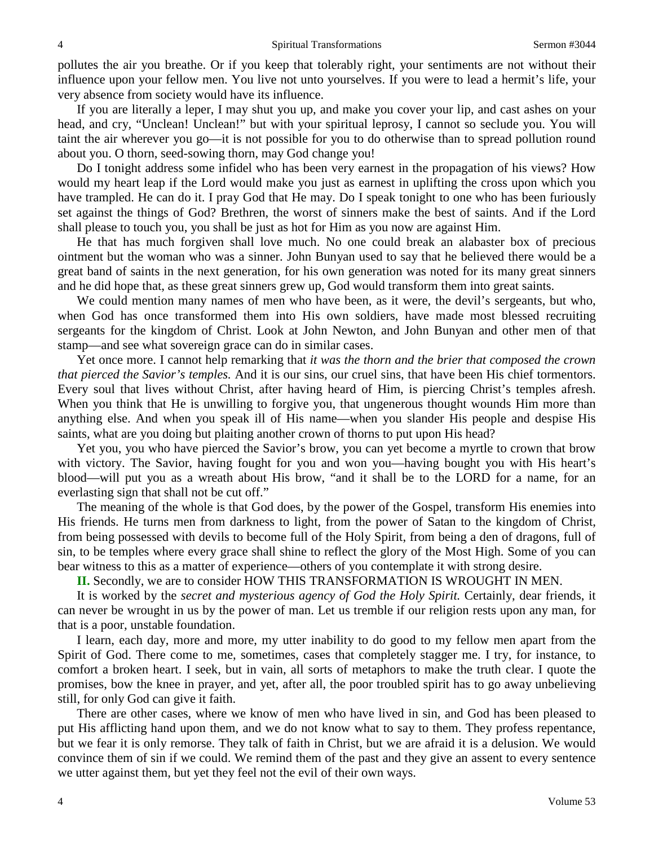pollutes the air you breathe. Or if you keep that tolerably right, your sentiments are not without their influence upon your fellow men. You live not unto yourselves. If you were to lead a hermit's life, your very absence from society would have its influence.

If you are literally a leper, I may shut you up, and make you cover your lip, and cast ashes on your head, and cry, "Unclean! Unclean!" but with your spiritual leprosy, I cannot so seclude you. You will taint the air wherever you go—it is not possible for you to do otherwise than to spread pollution round about you. O thorn, seed-sowing thorn, may God change you!

Do I tonight address some infidel who has been very earnest in the propagation of his views? How would my heart leap if the Lord would make you just as earnest in uplifting the cross upon which you have trampled. He can do it. I pray God that He may. Do I speak tonight to one who has been furiously set against the things of God? Brethren, the worst of sinners make the best of saints. And if the Lord shall please to touch you, you shall be just as hot for Him as you now are against Him.

He that has much forgiven shall love much. No one could break an alabaster box of precious ointment but the woman who was a sinner. John Bunyan used to say that he believed there would be a great band of saints in the next generation, for his own generation was noted for its many great sinners and he did hope that, as these great sinners grew up, God would transform them into great saints.

We could mention many names of men who have been, as it were, the devil's sergeants, but who, when God has once transformed them into His own soldiers, have made most blessed recruiting sergeants for the kingdom of Christ. Look at John Newton, and John Bunyan and other men of that stamp—and see what sovereign grace can do in similar cases.

Yet once more. I cannot help remarking that *it was the thorn and the brier that composed the crown that pierced the Savior's temples.* And it is our sins, our cruel sins, that have been His chief tormentors. Every soul that lives without Christ, after having heard of Him, is piercing Christ's temples afresh. When you think that He is unwilling to forgive you, that ungenerous thought wounds Him more than anything else. And when you speak ill of His name—when you slander His people and despise His saints, what are you doing but plaiting another crown of thorns to put upon His head?

Yet you, you who have pierced the Savior's brow, you can yet become a myrtle to crown that brow with victory. The Savior, having fought for you and won you—having bought you with His heart's blood—will put you as a wreath about His brow, "and it shall be to the LORD for a name, for an everlasting sign that shall not be cut off."

The meaning of the whole is that God does, by the power of the Gospel, transform His enemies into His friends. He turns men from darkness to light, from the power of Satan to the kingdom of Christ, from being possessed with devils to become full of the Holy Spirit, from being a den of dragons, full of sin, to be temples where every grace shall shine to reflect the glory of the Most High. Some of you can bear witness to this as a matter of experience—others of you contemplate it with strong desire.

**II.** Secondly, we are to consider HOW THIS TRANSFORMATION IS WROUGHT IN MEN.

It is worked by the *secret and mysterious agency of God the Holy Spirit.* Certainly, dear friends, it can never be wrought in us by the power of man. Let us tremble if our religion rests upon any man, for that is a poor, unstable foundation.

I learn, each day, more and more, my utter inability to do good to my fellow men apart from the Spirit of God. There come to me, sometimes, cases that completely stagger me. I try, for instance, to comfort a broken heart. I seek, but in vain, all sorts of metaphors to make the truth clear. I quote the promises, bow the knee in prayer, and yet, after all, the poor troubled spirit has to go away unbelieving still, for only God can give it faith.

There are other cases, where we know of men who have lived in sin, and God has been pleased to put His afflicting hand upon them, and we do not know what to say to them. They profess repentance, but we fear it is only remorse. They talk of faith in Christ, but we are afraid it is a delusion. We would convince them of sin if we could. We remind them of the past and they give an assent to every sentence we utter against them, but yet they feel not the evil of their own ways.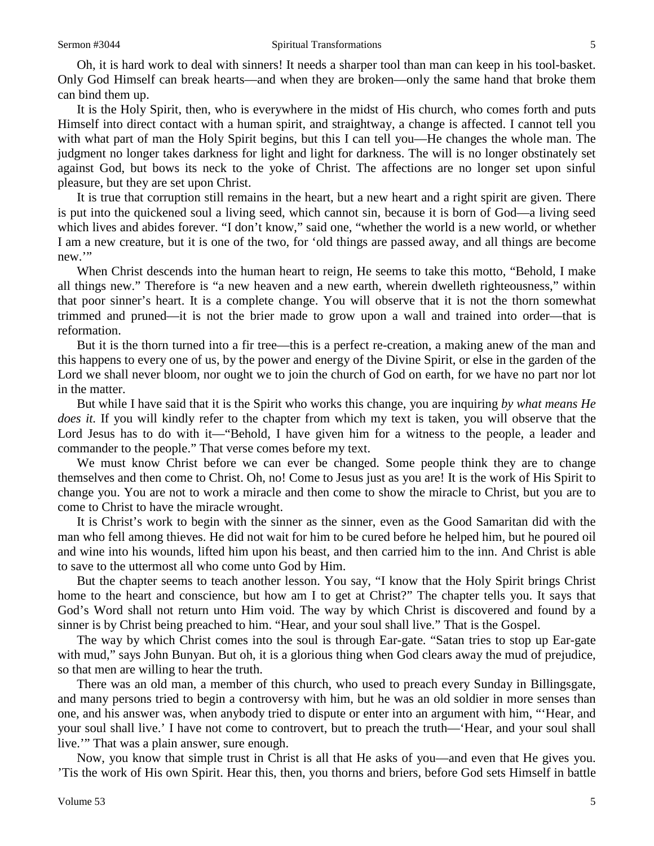Oh, it is hard work to deal with sinners! It needs a sharper tool than man can keep in his tool-basket. Only God Himself can break hearts—and when they are broken—only the same hand that broke them can bind them up.

It is the Holy Spirit, then, who is everywhere in the midst of His church, who comes forth and puts Himself into direct contact with a human spirit, and straightway, a change is affected. I cannot tell you with what part of man the Holy Spirit begins, but this I can tell you—He changes the whole man. The judgment no longer takes darkness for light and light for darkness. The will is no longer obstinately set against God, but bows its neck to the yoke of Christ. The affections are no longer set upon sinful pleasure, but they are set upon Christ.

It is true that corruption still remains in the heart, but a new heart and a right spirit are given. There is put into the quickened soul a living seed, which cannot sin, because it is born of God—a living seed which lives and abides forever. "I don't know," said one, "whether the world is a new world, or whether I am a new creature, but it is one of the two, for 'old things are passed away, and all things are become new."

When Christ descends into the human heart to reign, He seems to take this motto, "Behold, I make all things new." Therefore is "a new heaven and a new earth, wherein dwelleth righteousness," within that poor sinner's heart. It is a complete change. You will observe that it is not the thorn somewhat trimmed and pruned—it is not the brier made to grow upon a wall and trained into order—that is reformation.

But it is the thorn turned into a fir tree—this is a perfect re-creation, a making anew of the man and this happens to every one of us, by the power and energy of the Divine Spirit, or else in the garden of the Lord we shall never bloom, nor ought we to join the church of God on earth, for we have no part nor lot in the matter.

But while I have said that it is the Spirit who works this change, you are inquiring *by what means He does it.* If you will kindly refer to the chapter from which my text is taken, you will observe that the Lord Jesus has to do with it—"Behold, I have given him for a witness to the people, a leader and commander to the people." That verse comes before my text.

We must know Christ before we can ever be changed. Some people think they are to change themselves and then come to Christ. Oh, no! Come to Jesus just as you are! It is the work of His Spirit to change you. You are not to work a miracle and then come to show the miracle to Christ, but you are to come to Christ to have the miracle wrought.

It is Christ's work to begin with the sinner as the sinner, even as the Good Samaritan did with the man who fell among thieves. He did not wait for him to be cured before he helped him, but he poured oil and wine into his wounds, lifted him upon his beast, and then carried him to the inn. And Christ is able to save to the uttermost all who come unto God by Him.

But the chapter seems to teach another lesson. You say, "I know that the Holy Spirit brings Christ home to the heart and conscience, but how am I to get at Christ?" The chapter tells you. It says that God's Word shall not return unto Him void. The way by which Christ is discovered and found by a sinner is by Christ being preached to him. "Hear*,* and your soul shall live." That is the Gospel.

The way by which Christ comes into the soul is through Ear-gate. "Satan tries to stop up Ear-gate with mud," says John Bunyan. But oh, it is a glorious thing when God clears away the mud of prejudice, so that men are willing to hear the truth.

There was an old man, a member of this church, who used to preach every Sunday in Billingsgate, and many persons tried to begin a controversy with him, but he was an old soldier in more senses than one, and his answer was, when anybody tried to dispute or enter into an argument with him, "'Hear, and your soul shall live.' I have not come to controvert, but to preach the truth—'Hear, and your soul shall live.'" That was a plain answer, sure enough.

Now, you know that simple trust in Christ is all that He asks of you—and even that He gives you. 'Tis the work of His own Spirit. Hear this, then, you thorns and briers, before God sets Himself in battle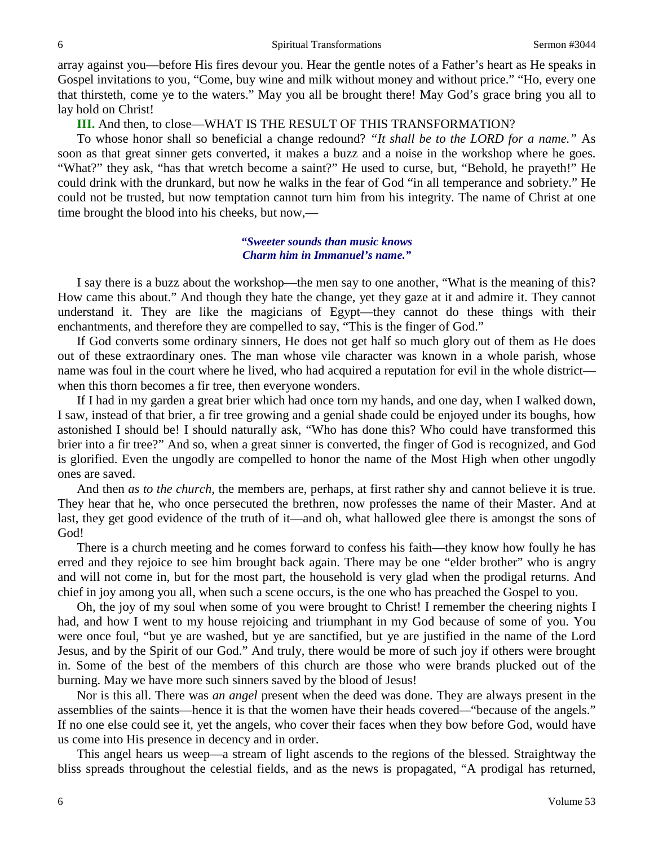array against you—before His fires devour you. Hear the gentle notes of a Father's heart as He speaks in Gospel invitations to you, "Come, buy wine and milk without money and without price." "Ho, every one that thirsteth, come ye to the waters." May you all be brought there! May God's grace bring you all to lay hold on Christ!

**III.** And then, to close—WHAT IS THE RESULT OF THIS TRANSFORMATION?

To whose honor shall so beneficial a change redound? *"It shall be to the LORD for a name."* As soon as that great sinner gets converted, it makes a buzz and a noise in the workshop where he goes. "What?" they ask, "has that wretch become a saint?" He used to curse, but, "Behold, he prayeth!" He could drink with the drunkard, but now he walks in the fear of God "in all temperance and sobriety." He could not be trusted, but now temptation cannot turn him from his integrity. The name of Christ at one time brought the blood into his cheeks, but now,—

# *"Sweeter sounds than music knows Charm him in Immanuel's name."*

I say there is a buzz about the workshop—the men say to one another, "What is the meaning of this? How came this about." And though they hate the change, yet they gaze at it and admire it. They cannot understand it. They are like the magicians of Egypt—they cannot do these things with their enchantments, and therefore they are compelled to say, "This is the finger of God."

If God converts some ordinary sinners, He does not get half so much glory out of them as He does out of these extraordinary ones. The man whose vile character was known in a whole parish, whose name was foul in the court where he lived, who had acquired a reputation for evil in the whole district when this thorn becomes a fir tree, then everyone wonders.

If I had in my garden a great brier which had once torn my hands, and one day, when I walked down, I saw, instead of that brier, a fir tree growing and a genial shade could be enjoyed under its boughs, how astonished I should be! I should naturally ask, "Who has done this? Who could have transformed this brier into a fir tree?" And so, when a great sinner is converted, the finger of God is recognized, and God is glorified. Even the ungodly are compelled to honor the name of the Most High when other ungodly ones are saved.

And then *as to the church,* the members are, perhaps, at first rather shy and cannot believe it is true. They hear that he, who once persecuted the brethren, now professes the name of their Master. And at last, they get good evidence of the truth of it—and oh, what hallowed glee there is amongst the sons of God!

There is a church meeting and he comes forward to confess his faith—they know how foully he has erred and they rejoice to see him brought back again. There may be one "elder brother" who is angry and will not come in, but for the most part, the household is very glad when the prodigal returns. And chief in joy among you all, when such a scene occurs, is the one who has preached the Gospel to you.

Oh, the joy of my soul when some of you were brought to Christ! I remember the cheering nights I had, and how I went to my house rejoicing and triumphant in my God because of some of you. You were once foul, "but ye are washed, but ye are sanctified, but ye are justified in the name of the Lord Jesus, and by the Spirit of our God." And truly, there would be more of such joy if others were brought in. Some of the best of the members of this church are those who were brands plucked out of the burning. May we have more such sinners saved by the blood of Jesus!

Nor is this all. There was *an angel* present when the deed was done. They are always present in the assemblies of the saints—hence it is that the women have their heads covered*—*"because of the angels." If no one else could see it, yet the angels, who cover their faces when they bow before God, would have us come into His presence in decency and in order.

This angel hears us weep—a stream of light ascends to the regions of the blessed. Straightway the bliss spreads throughout the celestial fields, and as the news is propagated, "A prodigal has returned,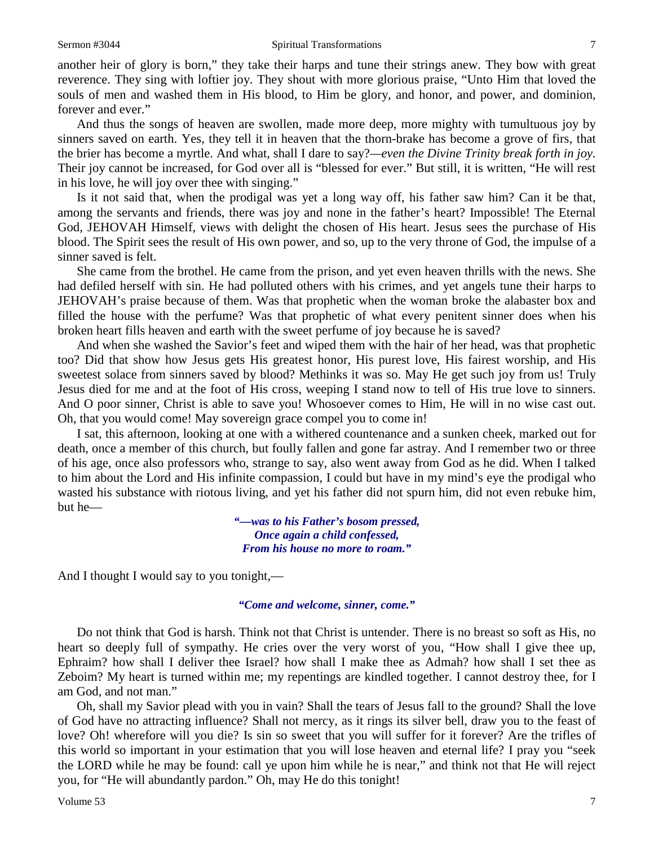another heir of glory is born," they take their harps and tune their strings anew. They bow with great reverence. They sing with loftier joy. They shout with more glorious praise, "Unto Him that loved the souls of men and washed them in His blood, to Him be glory, and honor, and power, and dominion, forever and ever."

And thus the songs of heaven are swollen, made more deep, more mighty with tumultuous joy by sinners saved on earth. Yes, they tell it in heaven that the thorn-brake has become a grove of firs, that the brier has become a myrtle. And what, shall I dare to say?*—even the Divine Trinity break forth in joy.*  Their joy cannot be increased, for God over all is "blessed for ever." But still, it is written, "He will rest in his love, he will joy over thee with singing."

Is it not said that, when the prodigal was yet a long way off, his father saw him? Can it be that, among the servants and friends, there was joy and none in the father's heart? Impossible! The Eternal God, JEHOVAH Himself, views with delight the chosen of His heart. Jesus sees the purchase of His blood. The Spirit sees the result of His own power, and so, up to the very throne of God, the impulse of a sinner saved is felt.

She came from the brothel. He came from the prison, and yet even heaven thrills with the news. She had defiled herself with sin. He had polluted others with his crimes, and yet angels tune their harps to JEHOVAH's praise because of them. Was that prophetic when the woman broke the alabaster box and filled the house with the perfume? Was that prophetic of what every penitent sinner does when his broken heart fills heaven and earth with the sweet perfume of joy because he is saved?

And when she washed the Savior's feet and wiped them with the hair of her head, was that prophetic too? Did that show how Jesus gets His greatest honor, His purest love, His fairest worship, and His sweetest solace from sinners saved by blood? Methinks it was so. May He get such joy from us! Truly Jesus died for me and at the foot of His cross, weeping I stand now to tell of His true love to sinners. And O poor sinner, Christ is able to save you! Whosoever comes to Him, He will in no wise cast out. Oh, that you would come! May sovereign grace compel you to come in!

I sat, this afternoon, looking at one with a withered countenance and a sunken cheek, marked out for death, once a member of this church, but foully fallen and gone far astray. And I remember two or three of his age, once also professors who, strange to say, also went away from God as he did. When I talked to him about the Lord and His infinite compassion, I could but have in my mind's eye the prodigal who wasted his substance with riotous living, and yet his father did not spurn him, did not even rebuke him, but he—

> *"—was to his Father's bosom pressed, Once again a child confessed, From his house no more to roam."*

And I thought I would say to you tonight,—

# *"Come and welcome, sinner, come."*

Do not think that God is harsh. Think not that Christ is untender. There is no breast so soft as His, no heart so deeply full of sympathy. He cries over the very worst of you, "How shall I give thee up, Ephraim? how shall I deliver thee Israel? how shall I make thee as Admah? how shall I set thee as Zeboim? My heart is turned within me; my repentings are kindled together. I cannot destroy thee, for I am God, and not man."

Oh, shall my Savior plead with you in vain? Shall the tears of Jesus fall to the ground? Shall the love of God have no attracting influence? Shall not mercy, as it rings its silver bell, draw you to the feast of love? Oh! wherefore will you die? Is sin so sweet that you will suffer for it forever? Are the trifles of this world so important in your estimation that you will lose heaven and eternal life? I pray you "seek the LORD while he may be found: call ye upon him while he is near," and think not that He will reject you, for "He will abundantly pardon." Oh, may He do this tonight!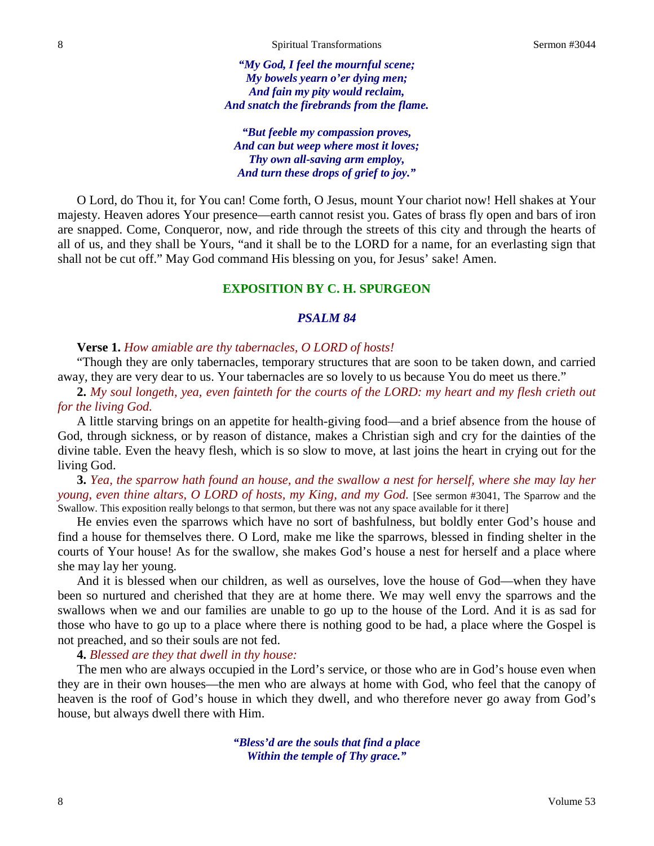*"My God, I feel the mournful scene; My bowels yearn o'er dying men; And fain my pity would reclaim, And snatch the firebrands from the flame.*

*"But feeble my compassion proves, And can but weep where most it loves; Thy own all-saving arm employ, And turn these drops of grief to joy."*

O Lord, do Thou it, for You can! Come forth, O Jesus, mount Your chariot now! Hell shakes at Your majesty. Heaven adores Your presence—earth cannot resist you. Gates of brass fly open and bars of iron are snapped. Come, Conqueror, now, and ride through the streets of this city and through the hearts of all of us, and they shall be Yours, "and it shall be to the LORD for a name, for an everlasting sign that shall not be cut off." May God command His blessing on you, for Jesus' sake! Amen.

# **EXPOSITION BY C. H. SPURGEON**

# *PSALM 84*

# **Verse 1.** *How amiable are thy tabernacles, O LORD of hosts!*

"Though they are only tabernacles, temporary structures that are soon to be taken down, and carried away, they are very dear to us. Your tabernacles are so lovely to us because You do meet us there."

**2.** *My soul longeth, yea, even fainteth for the courts of the LORD: my heart and my flesh crieth out for the living God.*

A little starving brings on an appetite for health-giving food—and a brief absence from the house of God, through sickness, or by reason of distance, makes a Christian sigh and cry for the dainties of the divine table. Even the heavy flesh, which is so slow to move, at last joins the heart in crying out for the living God.

**3.** *Yea, the sparrow hath found an house, and the swallow a nest for herself, where she may lay her young, even thine altars, O LORD of hosts, my King, and my God.* [See sermon #3041, The Sparrow and the Swallow. This exposition really belongs to that sermon, but there was not any space available for it there]

He envies even the sparrows which have no sort of bashfulness, but boldly enter God's house and find a house for themselves there. O Lord, make me like the sparrows, blessed in finding shelter in the courts of Your house! As for the swallow, she makes God's house a nest for herself and a place where she may lay her young.

And it is blessed when our children, as well as ourselves, love the house of God—when they have been so nurtured and cherished that they are at home there. We may well envy the sparrows and the swallows when we and our families are unable to go up to the house of the Lord. And it is as sad for those who have to go up to a place where there is nothing good to be had, a place where the Gospel is not preached, and so their souls are not fed.

#### **4.** *Blessed are they that dwell in thy house:*

The men who are always occupied in the Lord's service, or those who are in God's house even when they are in their own houses—the men who are always at home with God, who feel that the canopy of heaven is the roof of God's house in which they dwell, and who therefore never go away from God's house, but always dwell there with Him.

> *"Bless'd are the souls that find a place Within the temple of Thy grace."*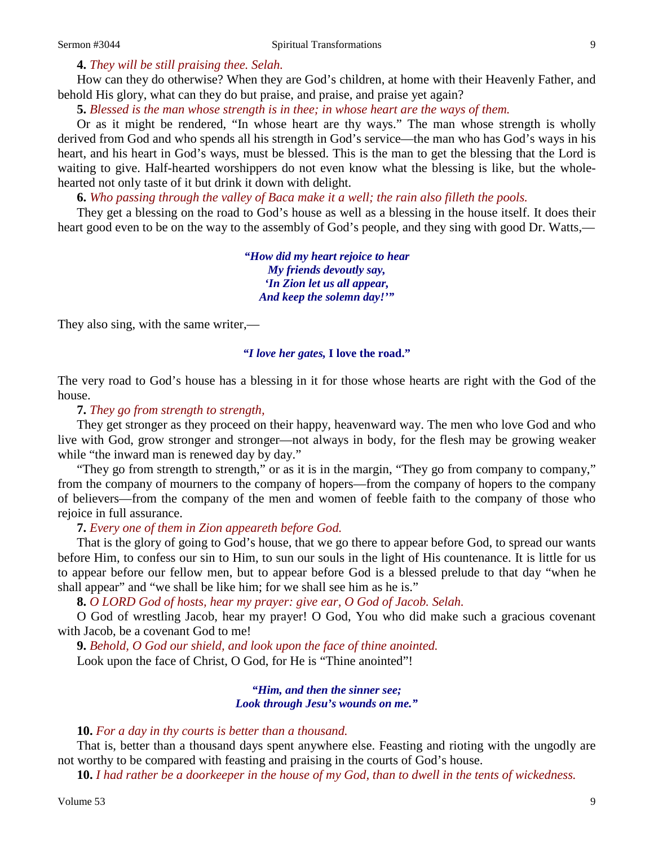# **4.** *They will be still praising thee. Selah.*

How can they do otherwise? When they are God's children, at home with their Heavenly Father, and behold His glory, what can they do but praise, and praise, and praise yet again?

**5.** *Blessed is the man whose strength is in thee; in whose heart are the ways of them.*

Or as it might be rendered, "In whose heart are thy ways." The man whose strength is wholly derived from God and who spends all his strength in God's service—the man who has God's ways in his heart, and his heart in God's ways, must be blessed. This is the man to get the blessing that the Lord is waiting to give. Half-hearted worshippers do not even know what the blessing is like, but the wholehearted not only taste of it but drink it down with delight.

**6.** *Who passing through the valley of Baca make it a well; the rain also filleth the pools.*

They get a blessing on the road to God's house as well as a blessing in the house itself. It does their heart good even to be on the way to the assembly of God's people, and they sing with good Dr. Watts,—

> *"How did my heart rejoice to hear My friends devoutly say, 'In Zion let us all appear, And keep the solemn day!'"*

They also sing, with the same writer,—

### *"I love her gates,* **I love the road."**

The very road to God's house has a blessing in it for those whose hearts are right with the God of the house.

# **7.** *They go from strength to strength,*

They get stronger as they proceed on their happy, heavenward way. The men who love God and who live with God, grow stronger and stronger—not always in body, for the flesh may be growing weaker while "the inward man is renewed day by day."

"They go from strength to strength," or as it is in the margin, "They go from company to company," from the company of mourners to the company of hopers—from the company of hopers to the company of believers—from the company of the men and women of feeble faith to the company of those who rejoice in full assurance.

# **7.** *Every one of them in Zion appeareth before God.*

That is the glory of going to God's house, that we go there to appear before God, to spread our wants before Him, to confess our sin to Him, to sun our souls in the light of His countenance. It is little for us to appear before our fellow men, but to appear before God is a blessed prelude to that day "when he shall appear" and "we shall be like him; for we shall see him as he is."

**8.** *O LORD God of hosts, hear my prayer: give ear, O God of Jacob. Selah.*

O God of wrestling Jacob, hear my prayer! O God, You who did make such a gracious covenant with Jacob, be a covenant God to me!

**9.** *Behold, O God our shield, and look upon the face of thine anointed.* Look upon the face of Christ, O God, for He is "Thine anointed"!

### *"Him, and then the sinner see; Look through Jesu's wounds on me."*

#### **10.** *For a day in thy courts is better than a thousand.*

That is, better than a thousand days spent anywhere else. Feasting and rioting with the ungodly are not worthy to be compared with feasting and praising in the courts of God's house.

**10.** *I had rather be a doorkeeper in the house of my God, than to dwell in the tents of wickedness.*